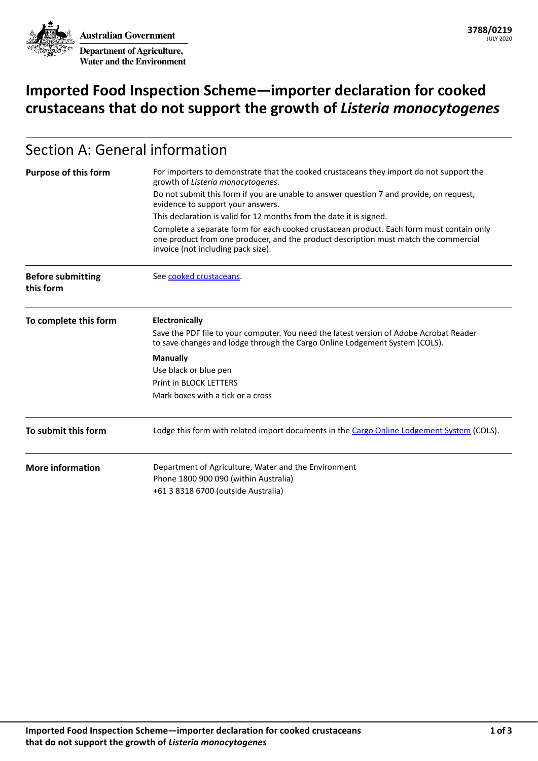**Australian Government Department of Agriculture, Water and the Environment**

# **Imported Food Inspection Scheme—importer declaration for cooked crustaceans that do not support the growth of** *Listeria monocytogenes*

# Section A: General information

| <b>Purpose of this form</b>           | For importers to demonstrate that the cooked crustaceans they import do not support the<br>growth of Listeria monocytogenes.                                                                                           |  |  |  |
|---------------------------------------|------------------------------------------------------------------------------------------------------------------------------------------------------------------------------------------------------------------------|--|--|--|
|                                       | Do not submit this form if you are unable to answer question 7 and provide, on request,<br>evidence to support your answers.                                                                                           |  |  |  |
|                                       | This declaration is valid for 12 months from the date it is signed.                                                                                                                                                    |  |  |  |
|                                       | Complete a separate form for each cooked crustacean product. Each form must contain only<br>one product from one producer, and the product description must match the commercial<br>invoice (not including pack size). |  |  |  |
| <b>Before submitting</b><br>this form | See cooked crustaceans.                                                                                                                                                                                                |  |  |  |
| To complete this form                 | <b>Electronically</b>                                                                                                                                                                                                  |  |  |  |
|                                       | Save the PDF file to your computer. You need the latest version of Adobe Acrobat Reader<br>to save changes and lodge through the Cargo Online Lodgement System (COLS).                                                 |  |  |  |
|                                       | <b>Manually</b>                                                                                                                                                                                                        |  |  |  |
|                                       | Use black or blue pen                                                                                                                                                                                                  |  |  |  |
|                                       | <b>Print in BLOCK LETTERS</b>                                                                                                                                                                                          |  |  |  |
|                                       | Mark boxes with a tick or a cross                                                                                                                                                                                      |  |  |  |
| To submit this form                   | Lodge this form with related import documents in the Cargo Online Lodgement System (COLS).                                                                                                                             |  |  |  |
| <b>More information</b>               | Department of Agriculture, Water and the Environment                                                                                                                                                                   |  |  |  |
|                                       | Phone 1800 900 090 (within Australia)                                                                                                                                                                                  |  |  |  |
|                                       | +61 3 8318 6700 (outside Australia)                                                                                                                                                                                    |  |  |  |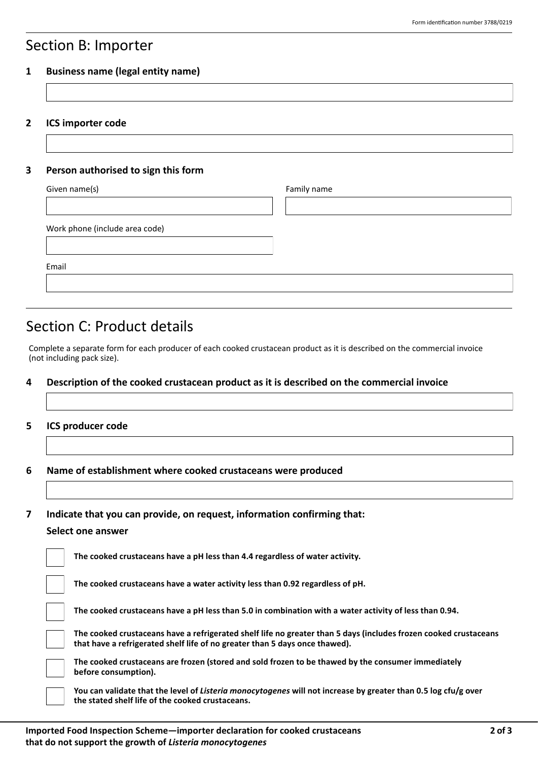### Section B: Importer

#### **1 Business name (legal entity name)**

**2 ICS importer code**

#### **3 Person authorised to sign this form**

| Given name(s)                  | Family name |
|--------------------------------|-------------|
|                                |             |
| Work phone (include area code) |             |
| Email                          |             |
|                                |             |

### Section C: Product details

Complete a separate form for each producer of each cooked crustacean product as it is described on the commercial invoice (not including pack size).

#### **4 Description of the cooked crustacean product as it is described on the commercial invoice**

#### **5 ICS producer code**

**6 Name of establishment where cooked crustaceans were produced**

**7 Indicate that you can provide, on request, information confirming that:**

#### **Select one answer**

|  | The cooked crustaceans have a pH less than 4.4 regardless of water activity.                                                                                                                    |
|--|-------------------------------------------------------------------------------------------------------------------------------------------------------------------------------------------------|
|  | The cooked crustaceans have a water activity less than 0.92 regardless of pH.                                                                                                                   |
|  | The cooked crustaceans have a pH less than 5.0 in combination with a water activity of less than 0.94.                                                                                          |
|  | The cooked crustaceans have a refrigerated shelf life no greater than 5 days (includes frozen cooked crustaceans<br>that have a refrigerated shelf life of no greater than 5 days once thawed). |
|  | The cooked crustaceans are frozen (stored and sold frozen to be thawed by the consumer immediately<br>before consumption).                                                                      |
|  | You can validate that the level of Listeria monocytogenes will not increase by greater than 0.5 log cfu/g over<br>the stated shelf life of the cooked crustaceans.                              |